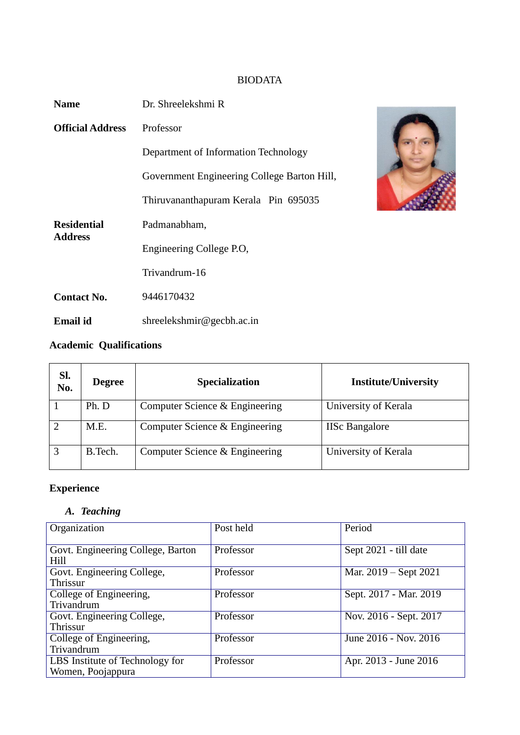# BIODATA

| <b>Name</b>             | Dr. Shreelekshmi R                          |  |
|-------------------------|---------------------------------------------|--|
| <b>Official Address</b> | Professor                                   |  |
|                         | Department of Information Technology        |  |
|                         | Government Engineering College Barton Hill, |  |
|                         | Thiruvananthapuram Kerala Pin 695035        |  |
| <b>Residential</b>      | Padmanabham,                                |  |
| <b>Address</b>          | Engineering College P.O.                    |  |
|                         | Trivandrum-16                               |  |
| <b>Contact No.</b>      | 9446170432                                  |  |
| <b>Email id</b>         | shreelekshmir@gecbh.ac.in                   |  |



# **Academic Qualifications**

| Sl.<br>No. | <b>Degree</b> | <b>Specialization</b>          | <b>Institute/University</b> |
|------------|---------------|--------------------------------|-----------------------------|
|            | Ph. D         | Computer Science & Engineering | University of Kerala        |
|            | M.E.          | Computer Science & Engineering | <b>IISc Bangalore</b>       |
|            | B.Tech.       | Computer Science & Engineering | University of Kerala        |

# **Experience**

## *A. Teaching*

| Organization                      | Post held | Period                 |
|-----------------------------------|-----------|------------------------|
|                                   |           |                        |
|                                   |           |                        |
| Govt. Engineering College, Barton | Professor | Sept 2021 - till date  |
| Hill                              |           |                        |
|                                   | Professor |                        |
| Govt. Engineering College,        |           | Mar. 2019 – Sept 2021  |
| Thrissur                          |           |                        |
| College of Engineering,           | Professor | Sept. 2017 - Mar. 2019 |
| Trivandrum                        |           |                        |
| Govt. Engineering College,        | Professor | Nov. 2016 - Sept. 2017 |
| Thrissur                          |           |                        |
| College of Engineering,           | Professor | June 2016 - Nov. 2016  |
| Trivandrum                        |           |                        |
| LBS Institute of Technology for   | Professor | Apr. 2013 - June 2016  |
|                                   |           |                        |
| Women, Poojappura                 |           |                        |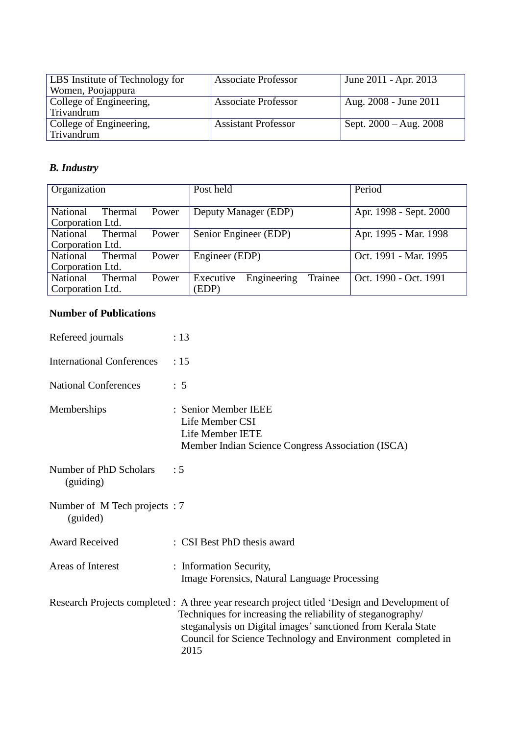| LBS Institute of Technology for | <b>Associate Professor</b> | June 2011 - Apr. 2013    |
|---------------------------------|----------------------------|--------------------------|
| Women, Poojappura               |                            |                          |
| College of Engineering,         | <b>Associate Professor</b> | Aug. 2008 - June 2011    |
| Trivandrum                      |                            |                          |
| College of Engineering,         | <b>Assistant Professor</b> | Sept. $2000 - Aug. 2008$ |
| Trivandrum                      |                            |                          |

# *B. Industry*

| Organization     |         |       | Post held                           | Period                 |
|------------------|---------|-------|-------------------------------------|------------------------|
| National         | Thermal | Power | Deputy Manager (EDP)                | Apr. 1998 - Sept. 2000 |
| Corporation Ltd. |         |       |                                     |                        |
| National         | Thermal | Power | Senior Engineer (EDP)               | Apr. 1995 - Mar. 1998  |
| Corporation Ltd. |         |       |                                     |                        |
| National         | Thermal | Power | Engineer (EDP)                      | Oct. 1991 - Mar. 1995  |
| Corporation Ltd. |         |       |                                     |                        |
| <b>National</b>  | Thermal | Power | Engineering<br>Trainee<br>Executive | Oct. 1990 - Oct. 1991  |
| Corporation Ltd. |         |       | (EDP)                               |                        |

## **Number of Publications**

| Refereed journals                        | : 13                                                                                                                                                                                                                                                                                                |
|------------------------------------------|-----------------------------------------------------------------------------------------------------------------------------------------------------------------------------------------------------------------------------------------------------------------------------------------------------|
| <b>International Conferences</b>         | :15                                                                                                                                                                                                                                                                                                 |
| <b>National Conferences</b>              | $\therefore$ 5                                                                                                                                                                                                                                                                                      |
| Memberships                              | : Senior Member IEEE<br>Life Member CSI<br>Life Member IETE<br>Member Indian Science Congress Association (ISCA)                                                                                                                                                                                    |
| Number of PhD Scholars<br>(guiding)      | $\div$ 5                                                                                                                                                                                                                                                                                            |
| Number of M Tech projects: 7<br>(guided) |                                                                                                                                                                                                                                                                                                     |
| <b>Award Received</b>                    | : CSI Best PhD thesis award                                                                                                                                                                                                                                                                         |
| Areas of Interest                        | : Information Security,<br><b>Image Forensics, Natural Language Processing</b>                                                                                                                                                                                                                      |
|                                          | Research Projects completed : A three year research project titled 'Design and Development of<br>Techniques for increasing the reliability of steganography/<br>steganalysis on Digital images' sanctioned from Kerala State<br>Council for Science Technology and Environment completed in<br>2015 |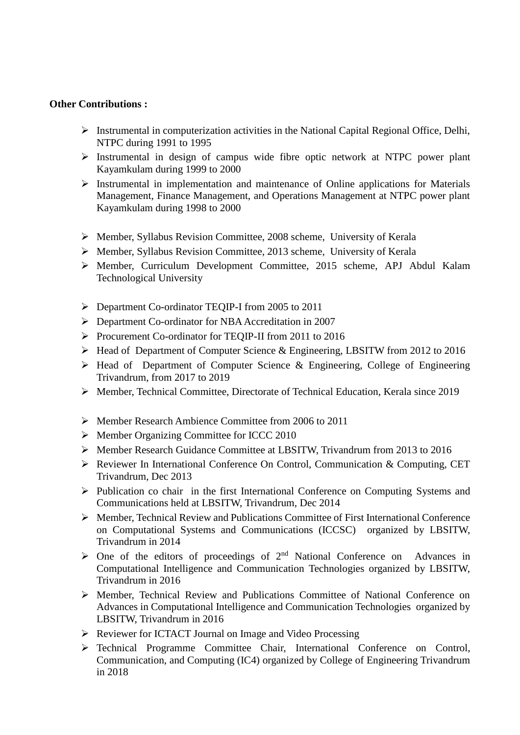#### **Other Contributions :**

- $\triangleright$  Instrumental in computerization activities in the National Capital Regional Office, Delhi, NTPC during 1991 to 1995
- $\triangleright$  Instrumental in design of campus wide fibre optic network at NTPC power plant Kayamkulam during 1999 to 2000
- $\triangleright$  Instrumental in implementation and maintenance of Online applications for Materials Management, Finance Management, and Operations Management at NTPC power plant Kayamkulam during 1998 to 2000
- $\triangleright$  Member, Syllabus Revision Committee, 2008 scheme, University of Kerala
- $\triangleright$  Member, Syllabus Revision Committee, 2013 scheme, University of Kerala
- Member, Curriculum Development Committee, 2015 scheme, APJ Abdul Kalam Technological University
- P Department Co-ordinator TEQIP-I from 2005 to 2011
- Department Co-ordinator for NBA Accreditation in 2007
- Procurement Co-ordinator for TEQIP-II from 2011 to 2016
- Head of Department of Computer Science & Engineering, LBSITW from 2012 to 2016
- $\triangleright$  Head of Department of Computer Science & Engineering, College of Engineering Trivandrum, from 2017 to 2019
- Member, Technical Committee, Directorate of Technical Education, Kerala since 2019
- Member Research Ambience Committee from 2006 to 2011
- ▶ Member Organizing Committee for ICCC 2010
- Member Research Guidance Committee at LBSITW, Trivandrum from 2013 to 2016
- Reviewer In International Conference On Control, Communication & Computing, CET Trivandrum, Dec 2013
- $\triangleright$  Publication co chair in the first International Conference on Computing Systems and Communications held at LBSITW, Trivandrum, Dec 2014
- Member, Technical Review and Publications Committee of First International Conference on Computational Systems and Communications (ICCSC) organized by LBSITW, Trivandrum in 2014
- $\geq$  One of the editors of proceedings of 2<sup>nd</sup> National Conference on Advances in Computational Intelligence and Communication Technologies organized by LBSITW, Trivandrum in 2016
- $\triangleright$  Member, Technical Review and Publications Committee of National Conference on Advances in Computational Intelligence and Communication Technologies organized by LBSITW, Trivandrum in 2016
- ▶ Reviewer for ICTACT Journal on Image and Video Processing
- Technical Programme Committee Chair, International Conference on Control, Communication, and Computing (IC4) organized by College of Engineering Trivandrum in 2018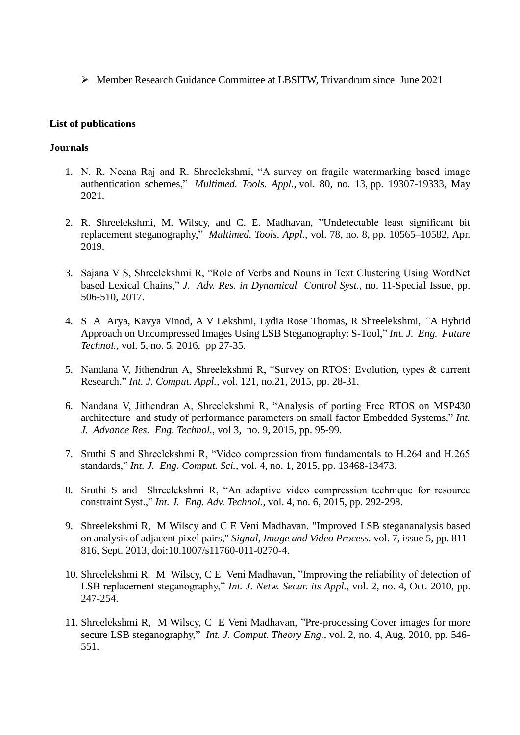Member Research Guidance Committee at LBSITW, Trivandrum since June 2021

#### **List of publications**

#### **Journals**

- 1. N. R. Neena Raj and R. Shreelekshmi, "A survey on fragile watermarking based image authentication schemes," *[Multimed. Tools. Appl.](https://dblp.org/db/journals/mta/mta80.html#RajS21)*, vol. 80, no. 13, pp. 19307-19333, May 2021.
- 2. R. Shreelekshmi, M. Wilscy, and C. E. Madhavan, "Undetectable least significant bit replacement steganography," *Multimed. Tools. Appl.*, vol. 78, no. 8, pp. 10565–10582, Apr. 2019.
- 3. Sajana V S, Shreelekshmi R, "Role of Verbs and Nouns in Text Clustering Using WordNet based Lexical Chains," *J. Adv. Res. in Dynamical Control Syst.*, no. 11-Special Issue, pp. 506-510, 2017.
- 4. S A Arya, Kavya Vinod, A V Lekshmi, Lydia Rose Thomas, R Shreelekshmi, *"*A Hybrid Approach on Uncompressed Images Using LSB Steganography: S-Tool," *Int. J. Eng. Future Technol.*, vol. 5, no. 5, 2016, pp 27-35.
- 5. Nandana V, Jithendran A, Shreelekshmi R, "Survey on RTOS: Evolution, types & current Research," *Int. J. Comput. Appl.*, vol. 121, no.21, 2015, pp. 28-31.
- 6. Nandana V, Jithendran A, Shreelekshmi R, "Analysis of porting Free RTOS on MSP430 architecture and study of performance parameters on small factor Embedded Systems," *Int. J. Advance Res. Eng. Technol.*, vol 3, no. 9, 2015, pp. 95-99.
- 7. Sruthi S and Shreelekshmi R, "Video compression from fundamentals to H.264 and H.265 standards," *Int. J. Eng. Comput. Sci.*, vol. 4, no. 1, 2015, pp. 13468-13473.
- 8. Sruthi S and Shreelekshmi R, "An adaptive video compression technique for resource constraint Syst.," *Int. J. Eng. Adv. Technol.*, vol. 4, no. 6, 2015, pp. 292-298.
- 9. Shreelekshmi R, M Wilscy and C E Veni Madhavan. "Improved LSB stegananalysis based on analysis of adjacent pixel pairs," *Signal, Image and Video Process.* vol. 7, issue 5, pp. 811- 816, Sept. 2013, doi:10.1007/s11760-011-0270-4.
- 10. Shreelekshmi R, M Wilscy, C E Veni Madhavan, "Improving the reliability of detection of LSB replacement steganography," *Int. J. Netw. Secur. its Appl.*, vol. 2, no. 4, Oct. 2010, pp. 247-254.
- 11. Shreelekshmi R, M Wilscy, C E Veni Madhavan, "Pre-processing Cover images for more secure LSB steganography," *Int. J. Comput. Theory Eng.*, vol. 2, no. 4, Aug. 2010, pp. 546- 551.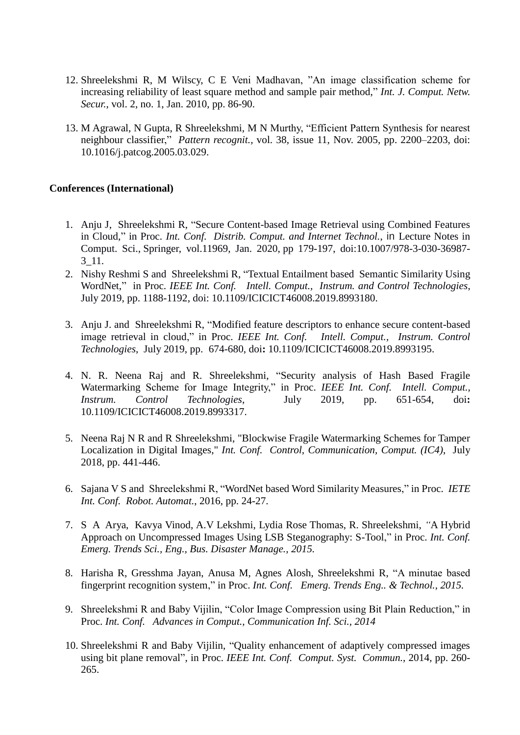- 12. Shreelekshmi R, M Wilscy, C E Veni Madhavan, "An image classification scheme for increasing reliability of least square method and sample pair method," *Int. J. Comput. Netw. Secur.*, vol. 2, no. 1, Jan. 2010, pp. 86-90.
- 13. M Agrawal, N Gupta, R Shreelekshmi, M N Murthy, "Efficient Pattern Synthesis for nearest neighbour classifier," *[P](http://www.sciencedirect.com/science/article/pii/S0031320305001780)attern recognit.*, vol. 38, issue 11, Nov. 2005, pp. 2200–2203, [doi:](http://dx.doi.org/10.1016/j.patcog.2005.03.029)  [10.1016/j.patcog.2005.03.029.](http://dx.doi.org/10.1016/j.patcog.2005.03.029)

#### **Conferences (International)**

- 1. Anju J, Shreelekshmi R, "Secure Content-based Image Retrieval using Combined Features in Cloud," in Proc. *Int. Conf. Distrib. Comput. and Internet Technol.*, in Lecture Notes in Comput. Sci., Springer, vol.11969, Jan. 2020, pp 179-197, doi:10.1007/978-3-030-36987- 3\_11.
- 2. Nishy Reshmi S and Shreelekshmi R, "Textual Entailment based Semantic Similarity Using WordNet," in Proc. *IEEE Int. Conf. Intell. Comput., Instrum. and Control Technologies*, July 2019, pp. 1188-1192, doi: 10.1109/ICICICT46008.2019.8993180.
- 3. Anju J. and Shreelekshmi R, "Modified feature descriptors to enhance secure content-based image retrieval in cloud," in Proc. *IEEE Int. Conf. Intell. Comput., Instrum. Control Technologies*, July 2019, pp. 674-680, doi**:** [10.1109/ICICICT46008.2019.8993195.](https://doi.org/10.1109/ICICICT46008.2019.8993195)
- 4. N. R. Neena Raj and R. Shreelekshmi, "Security analysis of Hash Based Fragile Watermarking Scheme for Image Integrity," in Proc. *IEEE Int. Conf. Intell. Comput., Instrum. Control Technologies*, July 2019, pp. 651-654, doi**:** 10.1109/ICICICT46008.2019.8993317.
- 5. Neena Raj N R and R Shreelekshmi, "Blockwise Fragile Watermarking Schemes for Tamper Localization in Digital Images," *Int. Conf. Control, Communication, Comput. (IC4)*, July 2018, pp. 441-446.
- 6. Sajana V S and Shreelekshmi R, "WordNet based Word Similarity Measures," in Proc. *IETE Int. Conf. Robot. Automat.*, 2016, pp. 24-27.
- 7. S A Arya, Kavya Vinod, A.V Lekshmi, Lydia Rose Thomas, R. Shreelekshmi, *"*A Hybrid Approach on Uncompressed Images Using LSB Steganography: S-Tool," in Proc. *Int. Conf. Emerg. Trends Sci., Eng., Bus. Disaster Manage., 2015.*
- 8. Harisha R, Gresshma Jayan, Anusa M, Agnes Alosh, Shreelekshmi R, "A minutae based fingerprint recognition system," in Proc. *Int. Conf. Emerg. Trends Eng.. & Technol., 2015.*
- 9. Shreelekshmi R and Baby Vijilin, "Color Image Compression using Bit Plain Reduction," in Proc. *Int. Conf. Advances in Comput., Communication Inf. Sci., 2014*
- 10. Shreelekshmi R and Baby Vijilin, "Quality enhancement of adaptively compressed images using bit plane removal", in Proc. *IEEE Int. Conf. Comput. Syst. Commun.,* 2014, pp. 260- 265.